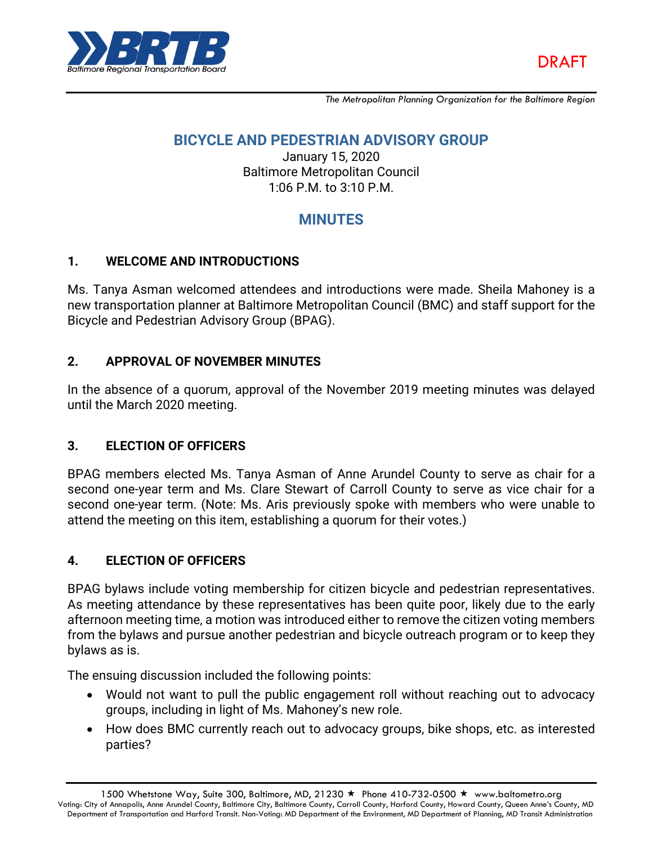

*The Metropolitan Planning Organization for the Baltimore Region*

## **BICYCLE AND PEDESTRIAN ADVISORY GROUP**

January 15, 2020 Baltimore Metropolitan Council 1:06 P.M. to 3:10 P.M.

# **MINUTES**

### **1. WELCOME AND INTRODUCTIONS**

Ms. Tanya Asman welcomed attendees and introductions were made. Sheila Mahoney is a new transportation planner at Baltimore Metropolitan Council (BMC) and staff support for the Bicycle and Pedestrian Advisory Group (BPAG).

### **2. APPROVAL OF NOVEMBER MINUTES**

In the absence of a quorum, approval of the November 2019 meeting minutes was delayed until the March 2020 meeting.

### **3. ELECTION OF OFFICERS**

BPAG members elected Ms. Tanya Asman of Anne Arundel County to serve as chair for a second one-year term and Ms. Clare Stewart of Carroll County to serve as vice chair for a second one-year term. (Note: Ms. Aris previously spoke with members who were unable to attend the meeting on this item, establishing a quorum for their votes.)

### **4. ELECTION OF OFFICERS**

BPAG bylaws include voting membership for citizen bicycle and pedestrian representatives. As meeting attendance by these representatives has been quite poor, likely due to the early afternoon meeting time, a motion was introduced either to remove the citizen voting members from the bylaws and pursue another pedestrian and bicycle outreach program or to keep they bylaws as is.

The ensuing discussion included the following points:

- Would not want to pull the public engagement roll without reaching out to advocacy groups, including in light of Ms. Mahoney's new role.
- How does BMC currently reach out to advocacy groups, bike shops, etc. as interested parties?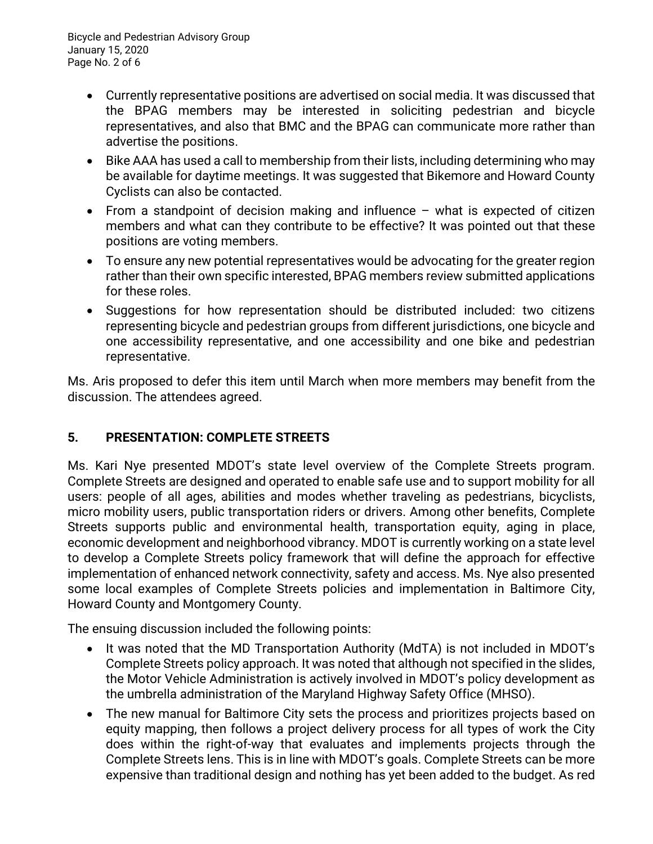- Currently representative positions are advertised on social media. It was discussed that the BPAG members may be interested in soliciting pedestrian and bicycle representatives, and also that BMC and the BPAG can communicate more rather than advertise the positions.
- Bike AAA has used a call to membership from their lists, including determining who may be available for daytime meetings. It was suggested that Bikemore and Howard County Cyclists can also be contacted.
- From a standpoint of decision making and influence what is expected of citizen members and what can they contribute to be effective? It was pointed out that these positions are voting members.
- To ensure any new potential representatives would be advocating for the greater region rather than their own specific interested, BPAG members review submitted applications for these roles.
- Suggestions for how representation should be distributed included: two citizens representing bicycle and pedestrian groups from different jurisdictions, one bicycle and one accessibility representative, and one accessibility and one bike and pedestrian representative.

Ms. Aris proposed to defer this item until March when more members may benefit from the discussion. The attendees agreed.

# **5. PRESENTATION: COMPLETE STREETS**

Ms. Kari Nye presented MDOT's state level overview of the Complete Streets program. Complete Streets are designed and operated to enable safe use and to support mobility for all users: people of all ages, abilities and modes whether traveling as pedestrians, bicyclists, micro mobility users, public transportation riders or drivers. Among other benefits, Complete Streets supports public and environmental health, transportation equity, aging in place, economic development and neighborhood vibrancy. MDOT is currently working on a state level to develop a Complete Streets policy framework that will define the approach for effective implementation of enhanced network connectivity, safety and access. Ms. Nye also presented some local examples of Complete Streets policies and implementation in Baltimore City, Howard County and Montgomery County.

The ensuing discussion included the following points:

- It was noted that the MD Transportation Authority (MdTA) is not included in MDOT's Complete Streets policy approach. It was noted that although not specified in the slides, the Motor Vehicle Administration is actively involved in MDOT's policy development as the umbrella administration of the Maryland Highway Safety Office (MHSO).
- The new manual for Baltimore City sets the process and prioritizes projects based on equity mapping, then follows a project delivery process for all types of work the City does within the right-of-way that evaluates and implements projects through the Complete Streets lens. This is in line with MDOT's goals. Complete Streets can be more expensive than traditional design and nothing has yet been added to the budget. As red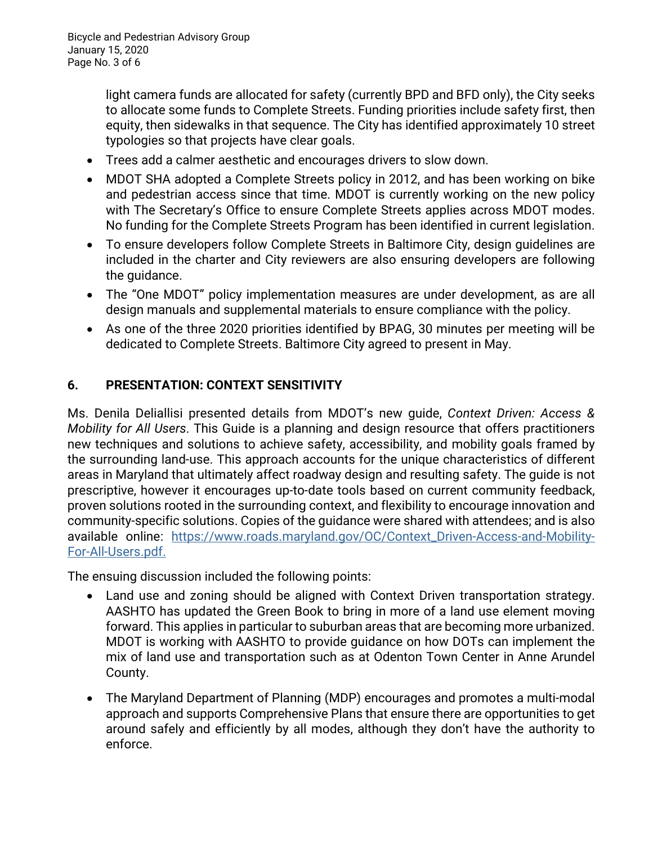light camera funds are allocated for safety (currently BPD and BFD only), the City seeks to allocate some funds to Complete Streets. Funding priorities include safety first, then equity, then sidewalks in that sequence. The City has identified approximately 10 street typologies so that projects have clear goals.

- Trees add a calmer aesthetic and encourages drivers to slow down.
- MDOT SHA adopted a Complete Streets policy in 2012, and has been working on bike and pedestrian access since that time. MDOT is currently working on the new policy with The Secretary's Office to ensure Complete Streets applies across MDOT modes. No funding for the Complete Streets Program has been identified in current legislation.
- To ensure developers follow Complete Streets in Baltimore City, design guidelines are included in the charter and City reviewers are also ensuring developers are following the guidance.
- The "One MDOT" policy implementation measures are under development, as are all design manuals and supplemental materials to ensure compliance with the policy.
- As one of the three 2020 priorities identified by BPAG, 30 minutes per meeting will be dedicated to Complete Streets. Baltimore City agreed to present in May.

# **6. PRESENTATION: CONTEXT SENSITIVITY**

Ms. Denila Deliallisi presented details from MDOT's new guide, *Context Driven: Access & Mobility for All Users*. This Guide is a planning and design resource that offers practitioners new techniques and solutions to achieve safety, accessibility, and mobility goals framed by the surrounding land-use. This approach accounts for the unique characteristics of different areas in Maryland that ultimately affect roadway design and resulting safety. The guide is not prescriptive, however it encourages up-to-date tools based on current community feedback, proven solutions rooted in the surrounding context, and flexibility to encourage innovation and community-specific solutions. Copies of the guidance were shared with attendees; and is also available online: [https://www.roads.maryland.gov/OC/Context\\_Driven-Access-and-Mobility-](https://www.roads.maryland.gov/OC/Context_Driven-Access-and-Mobility-For-All-Users.pdf)[For-All-Users.pdf.](https://www.roads.maryland.gov/OC/Context_Driven-Access-and-Mobility-For-All-Users.pdf)

The ensuing discussion included the following points:

- Land use and zoning should be aligned with Context Driven transportation strategy. AASHTO has updated the Green Book to bring in more of a land use element moving forward. This applies in particular to suburban areas that are becoming more urbanized. MDOT is working with AASHTO to provide guidance on how DOTs can implement the mix of land use and transportation such as at Odenton Town Center in Anne Arundel County.
- The Maryland Department of Planning (MDP) encourages and promotes a multi-modal approach and supports Comprehensive Plans that ensure there are opportunities to get around safely and efficiently by all modes, although they don't have the authority to enforce.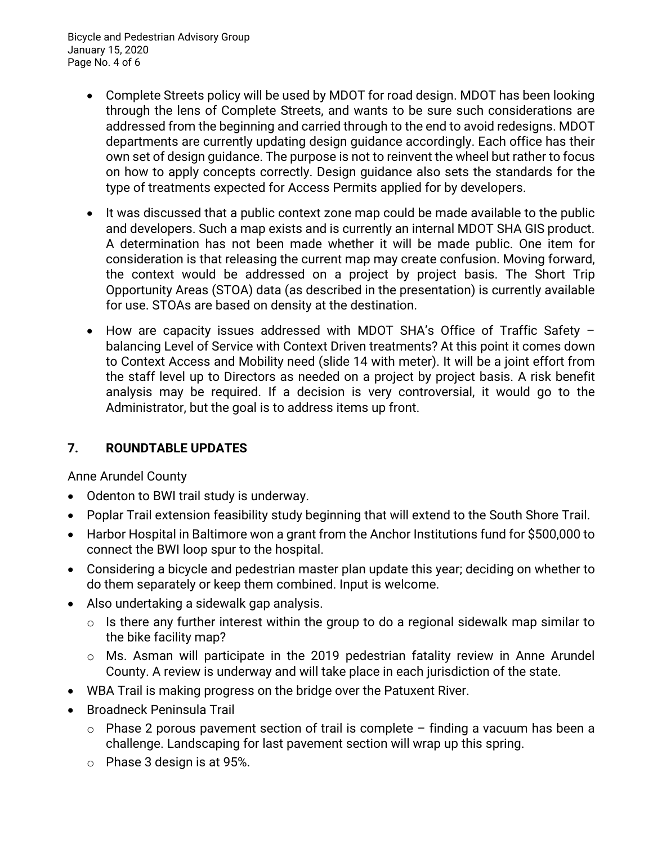Bicycle and Pedestrian Advisory Group January 15, 2020 Page No. 4 of 6

- Complete Streets policy will be used by MDOT for road design. MDOT has been looking through the lens of Complete Streets, and wants to be sure such considerations are addressed from the beginning and carried through to the end to avoid redesigns. MDOT departments are currently updating design guidance accordingly. Each office has their own set of design guidance. The purpose is not to reinvent the wheel but rather to focus on how to apply concepts correctly. Design guidance also sets the standards for the type of treatments expected for Access Permits applied for by developers.
- It was discussed that a public context zone map could be made available to the public and developers. Such a map exists and is currently an internal MDOT SHA GIS product. A determination has not been made whether it will be made public. One item for consideration is that releasing the current map may create confusion. Moving forward, the context would be addressed on a project by project basis. The Short Trip Opportunity Areas (STOA) data (as described in the presentation) is currently available for use. STOAs are based on density at the destination.
- How are capacity issues addressed with MDOT SHA's Office of Traffic Safety balancing Level of Service with Context Driven treatments? At this point it comes down to Context Access and Mobility need (slide 14 with meter). It will be a joint effort from the staff level up to Directors as needed on a project by project basis. A risk benefit analysis may be required. If a decision is very controversial, it would go to the Administrator, but the goal is to address items up front.

# **7. ROUNDTABLE UPDATES**

Anne Arundel County

- Odenton to BWI trail study is underway.
- Poplar Trail extension feasibility study beginning that will extend to the South Shore Trail.
- Harbor Hospital in Baltimore won a grant from the Anchor Institutions fund for \$500,000 to connect the BWI loop spur to the hospital.
- Considering a bicycle and pedestrian master plan update this year; deciding on whether to do them separately or keep them combined. Input is welcome.
- Also undertaking a sidewalk gap analysis.
	- $\circ$  Is there any further interest within the group to do a regional sidewalk map similar to the bike facility map?
	- o Ms. Asman will participate in the 2019 pedestrian fatality review in Anne Arundel County. A review is underway and will take place in each jurisdiction of the state.
- WBA Trail is making progress on the bridge over the Patuxent River.
- Broadneck Peninsula Trail
	- $\circ$  Phase 2 porous pavement section of trail is complete finding a vacuum has been a challenge. Landscaping for last pavement section will wrap up this spring.
	- o Phase 3 design is at 95%.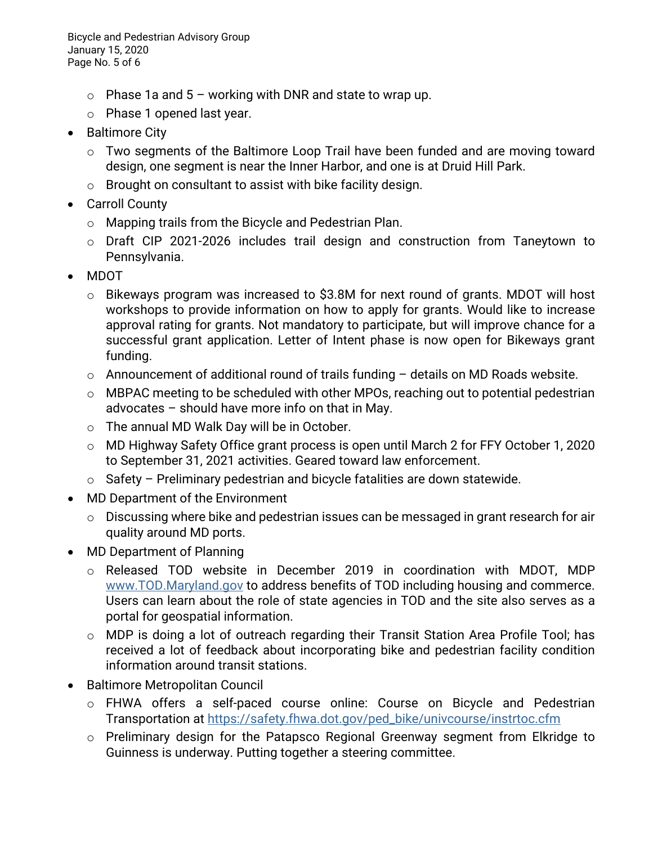Bicycle and Pedestrian Advisory Group January 15, 2020 Page No. 5 of 6

- $\circ$  Phase 1a and 5 working with DNR and state to wrap up.
- o Phase 1 opened last year.
- Baltimore City
	- o Two segments of the Baltimore Loop Trail have been funded and are moving toward design, one segment is near the Inner Harbor, and one is at Druid Hill Park.
	- $\circ$  Brought on consultant to assist with bike facility design.
- Carroll County
	- o Mapping trails from the Bicycle and Pedestrian Plan.
	- o Draft CIP 2021-2026 includes trail design and construction from Taneytown to Pennsylvania.
- MDOT
	- o Bikeways program was increased to \$3.8M for next round of grants. MDOT will host workshops to provide information on how to apply for grants. Would like to increase approval rating for grants. Not mandatory to participate, but will improve chance for a successful grant application. Letter of Intent phase is now open for Bikeways grant funding.
	- $\circ$  Announcement of additional round of trails funding  $-$  details on MD Roads website.
	- o MBPAC meeting to be scheduled with other MPOs, reaching out to potential pedestrian advocates – should have more info on that in May.
	- o The annual MD Walk Day will be in October.
	- o MD Highway Safety Office grant process is open until March 2 for FFY October 1, 2020 to September 31, 2021 activities. Geared toward law enforcement.
	- $\circ$  Safety Preliminary pedestrian and bicycle fatalities are down statewide.
- MD Department of the Environment
	- o Discussing where bike and pedestrian issues can be messaged in grant research for air quality around MD ports.
- MD Department of Planning
	- o Released TOD website in December 2019 in coordination with MDOT, MDP [www.TOD.Maryland.gov](http://www.tod.maryland.gov/) to address benefits of TOD including housing and commerce. Users can learn about the role of state agencies in TOD and the site also serves as a portal for geospatial information.
	- o MDP is doing a lot of outreach regarding their Transit Station Area Profile Tool; has received a lot of feedback about incorporating bike and pedestrian facility condition information around transit stations.
- Baltimore Metropolitan Council
	- o FHWA offers a self-paced course online: Course on Bicycle and Pedestrian Transportation at [https://safety.fhwa.dot.gov/ped\\_bike/univcourse/instrtoc.cfm](https://safety.fhwa.dot.gov/ped_bike/univcourse/instrtoc.cfm)
	- o Preliminary design for the Patapsco Regional Greenway segment from Elkridge to Guinness is underway. Putting together a steering committee.